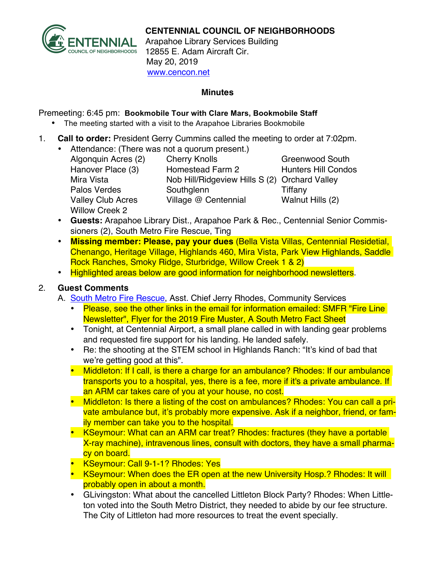

## **CENTENNIAL COUNCIL OF NEIGHBORHOODS**

Arapahoe Library Services Building 12855 E. Adam Aircraft Cir. May 20, 2019 www.cencon.net

#### **Minutes**

Premeeting: 6:45 pm: **Bookmobile Tour with Clare Mars, Bookmobile Staff** 

- The meeting started with a visit to the Arapahoe Libraries Bookmobile
- 1. **Call to order:** President Gerry Cummins called the meeting to order at 7:02pm.
	- Attendance: (There was not a quorum present.)
		- Algonquin Acres (2) Cherry Knolls Greenwood South Hanover Place (3) Homestead Farm 2 Hunters Hill Condos Mira Vista Nob Hill/Ridgeview Hills S (2) Orchard Valley Palos Verdes Southglenn Tiffany Valley Club Acres Village @ Centennial Walnut Hills (2) Willow Creek 2

- **Guests:** Arapahoe Library Dist., Arapahoe Park & Rec., Centennial Senior Commissioners (2), South Metro Fire Rescue, Ting
- **Missing member: Please, pay your dues** (Bella Vista Villas, Centennial Residetial, Chenango, Heritage Village, Highlands 460, Mira Vista, Park View Highlands, Saddle Rock Ranches, Smoky Ridge, Sturbridge, Willow Creek 1 & 2)
- Highlighted areas below are good information for neighborhood newsletters.

# 2. **Guest Comments**

- A. [South Metro Fire Rescue,](http://www.southmetro.org/) Asst. Chief Jerry Rhodes, Community Services
	- Please, see the other links in the email for information emailed: SMFR "Fire Line Newsletter", Flyer for the 2019 Fire Muster, A South Metro Fact Sheet
	- Tonight, at Centennial Airport, a small plane called in with landing gear problems and requested fire support for his landing. He landed safely.
	- Re: the shooting at the STEM school in Highlands Ranch: "It's kind of bad that we're getting good at this".
	- Middleton: If I call, is there a charge for an ambulance? Rhodes: If our ambulance transports you to a hospital, yes, there is a fee, more if it's a private ambulance. If an ARM car takes care of you at your house, no cost.
	- Middleton: Is there a listing of the cost on ambulances? Rhodes: You can call a private ambulance but, it's probably more expensive. Ask if a neighbor, friend, or family member can take you to the hospital.
	- KSeymour: What can an ARM car treat? Rhodes: fractures (they have a portable X-ray machine), intravenous lines, consult with doctors, they have a small pharmacy on board.
	- KSeymour: Call 9-1-1? Rhodes: Yes
	- KSeymour: When does the ER open at the new University Hosp.? Rhodes: It will probably open in about a month.
	- GLivingston: What about the cancelled Littleton Block Party? Rhodes: When Littleton voted into the South Metro District, they needed to abide by our fee structure. The City of Littleton had more resources to treat the event specially.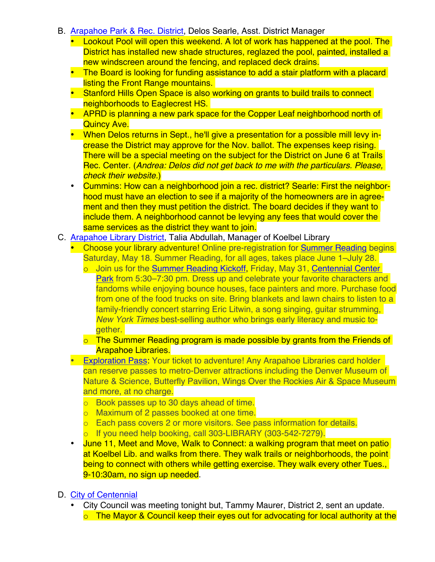- B. [Arapahoe Park & Rec. District,](http://www.aprd.org) Delos Searle, Asst. District Manager
	- Lookout Pool will open this weekend. A lot of work has happened at the pool. The District has installed new shade structures, reglazed the pool, painted, installed a new windscreen around the fencing, and replaced deck drains.
	- The Board is looking for funding assistance to add a stair platform with a placard listing the Front Range mountains.
	- Stanford Hills Open Space is also working on grants to build trails to connect neighborhoods to Eaglecrest HS.
	- APRD is planning a new park space for the Copper Leaf neighborhood north of Quincy Ave.
	- When Delos returns in Sept., he'll give a presentation for a possible mill levy increase the District may approve for the Nov. ballot. The expenses keep rising. There will be a special meeting on the subject for the District on June 6 at Trails Rec. Center. (*Andrea: Delos did not get back to me with the particulars. Please, check their website.*)
	- Cummins: How can a neighborhood join a rec. district? Searle: First the neighborhood must have an election to see if a majority of the homeowners are in agreement and then they must petition the district. The board decides if they want to include them. A neighborhood cannot be levying any fees that would cover the same services as the district they want to join.

#### C. [Arapahoe Library District](http://www.arapahoelibraries.org/), Talia Abdullah, Manager of Koelbel Library

- Choose your library adventure! Online pre-registration for [Summer](https://arapahoe.readingrecord.net/register.php?progId=1&_ga=2.80223888.643096008.1559102430-1095320226.1551417564) Reading begins Saturday, May 18. Summer Reading, for all ages, takes place June 1–July 28.
	- o Join us for the [Summer](https://arapahoelibraries.bibliocommons.com/events/5ca229430bb8369837ae8bef) Reading Kickoff, Friday, May 31, [Centennial Center](http://www.centennialco.gov/Open-Space-Parks/centennial-center-park.aspx) [Park](http://www.centennialco.gov/Open-Space-Parks/centennial-center-park.aspx) from 5:30–7:30 pm. Dress up and celebrate your favorite characters and fandoms while enjoying bounce houses, face painters and more. Purchase food from one of the food trucks on site. Bring blankets and lawn chairs to listen to a family-friendly concert starring Eric Litwin, a song singing, guitar strumming, *New York Times* best-selling author who brings early literacy and music together.
	- o The Summer Reading program is made possible by grants from the Friends of Arapahoe Libraries.
- [Exploration Pass](https://arapahoelibraries.org/?post_type=&s=Exploration+Pass). Your ticket to adventure! Any Arapahoe Libraries card holder can reserve passes to metro-Denver attractions including the Denver Museum of Nature & Science, Butterfly Pavilion, Wings Over the Rockies Air & Space Museum and more, at no charge.
	- $\circ$  Book passes up to 30 days ahead of time.
	- o Maximum of 2 passes booked at one time.
	- o Each pass covers 2 or more visitors. See pass information for details.
	- o If you need help booking, call 303-LIBRARY (303-542-7279).
- June 11, Meet and Move, Walk to Connect: a walking program that meet on patio at Koelbel Lib. and walks from there. They walk trails or neighborhoods, the point being to connect with others while getting exercise. They walk every other Tues., 9-10:30am, no sign up needed.
- D. [City of Centennia](http://www.centennialco.gov)l
	- City Council was meeting tonight but, Tammy Maurer, District 2, sent an update.  $\circ$  The Mayor & Council keep their eyes out for advocating for local authority at the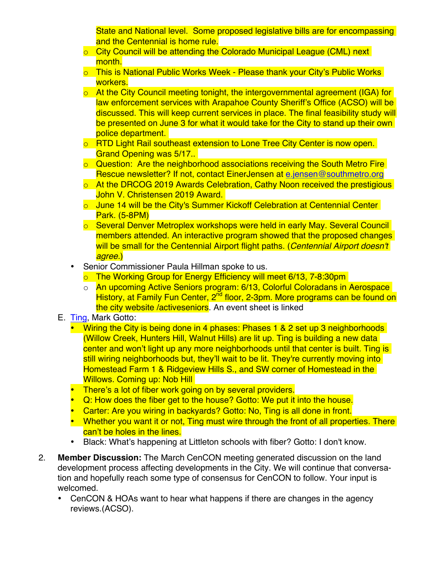State and National level. Some proposed legislative bills are for encompassing and the Centennial is home rule.

- o City Council will be attending the Colorado Municipal League (CML) next month.
- o This is National Public Works Week Please thank your City's Public Works workers.
- o At the City Council meeting tonight, the intergovernmental agreement (IGA) for law enforcement services with Arapahoe County Sheriff's Office (ACSO) will be discussed. This will keep current services in place. The final feasibility study will be presented on June 3 for what it would take for the City to stand up their own police department.
- o RTD Light Rail southeast extension to Lone Tree City Center is now open. Grand Opening was 5/17..
- o Question: Are the neighborhood associations receiving the South Metro Fire Rescue newsletter? If not, contact EinerJensen at [e.jensen@southmetro.org](mailto:e.jensen@southmetro.org)
- o At the DRCOG 2019 Awards Celebration, Cathy Noon received the prestigious John V. Christensen 2019 Award.
- o June 14 will be the City's Summer Kickoff Celebration at Centennial Center Park. (5-8PM)
- o Several Denver Metroplex workshops were held in early May. Several Council members attended. An interactive program showed that the proposed changes will be small for the Centennial Airport flight paths. (*Centennial Airport doesn't agree.*)
- Senior Commissioner Paula Hillman spoke to us.
	- o The Working Group for Energy Efficiency will meet 6/13, 7-8:30pm
	- o An upcoming Active Seniors program: 6/13, Colorful Coloradans in Aerospace History, at Family Fun Center, 2<sup>nd</sup> floor, 2-3pm. More programs can be found on the city website /activeseniors. An event sheet is linked
- E. [Ting,](http://www.ting.com/Centennial) Mark Gotto:
	- Wiring the City is being done in 4 phases: Phases 1 & 2 set up 3 neighborhoods (Willow Creek, Hunters Hill, Walnut Hills) are lit up. Ting is building a new data center and won't light up any more neighborhoods until that center is built. Ting is still wiring neighborhoods but, they'll wait to be lit. They're currently moving into Homestead Farm 1 & Ridgeview Hills S., and SW corner of Homestead in the Willows. Coming up: Nob Hill
	- There's a lot of fiber work going on by several providers.
	- Q: How does the fiber get to the house? Gotto: We put it into the house.
	- Carter: Are you wiring in backyards? Gotto: No, Ting is all done in front.
	- Whether you want it or not, Ting must wire through the front of all properties. There can't be holes in the lines.
	- Black: What's happening at Littleton schools with fiber? Gotto: I don't know.
- 2. **Member Discussion:** The March CenCON meeting generated discussion on the land development process affecting developments in the City. We will continue that conversation and hopefully reach some type of consensus for CenCON to follow. Your input is welcomed.
	- CenCON & HOAs want to hear what happens if there are changes in the agency reviews.(ACSO).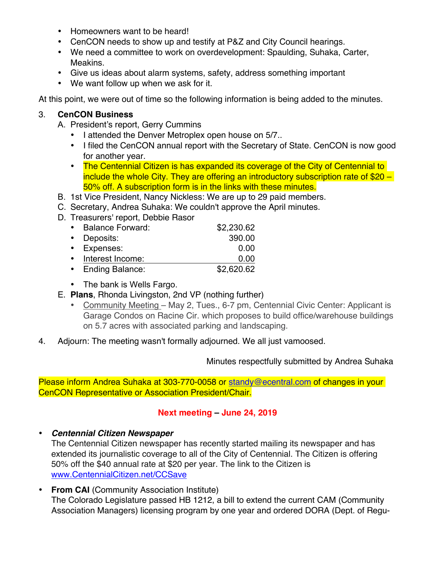- Homeowners want to be heard!
- CenCON needs to show up and testify at P&Z and City Council hearings.
- We need a committee to work on overdevelopment: Spaulding, Suhaka, Carter, Meakins.
- Give us ideas about alarm systems, safety, address something important
- We want follow up when we ask for it.

At this point, we were out of time so the following information is being added to the minutes.

### 3. **CenCON Business**

- A. President's report, Gerry Cummins
	- I attended the Denver Metroplex open house on 5/7..
	- I filed the CenCON annual report with the Secretary of State. CenCON is now good for another year.
	- The Centennial Citizen is has expanded its coverage of the City of Centennial to include the whole City. They are offering an introductory subscription rate of \$20 – 50% off. A subscription form is in the links with these minutes.
- B. 1st Vice President, Nancy Nickless: We are up to 29 paid members.
- C. Secretary, Andrea Suhaka: We couldn't approve the April minutes.
- D. Treasurers' report, Debbie Rasor

| • Balance Forward: | \$2,230.62 |
|--------------------|------------|
| • Deposits:        | 390.00     |
| • Expenses:        | 0.00       |
| • Interest Income: | 0.00       |
| • Ending Balance:  | \$2,620.62 |

- The bank is Wells Fargo.
- E. **Plans**, Rhonda Livingston, 2nd VP (nothing further)
	- Community Meeting May 2, Tues., 6-7 pm, Centennial Civic Center: Applicant is Garage Condos on Racine Cir. which proposes to build office/warehouse buildings on 5.7 acres with associated parking and landscaping.
- 4. Adjourn: The meeting wasn't formally adjourned. We all just vamoosed.

Minutes respectfully submitted by Andrea Suhaka

Please inform Andrea Suhaka at 303-770-0058 or standy@ecentral.com of changes in your CenCON Representative or Association President/Chair.

## **Next meeting – June 24, 2019**

• *Centennial Citizen Newspaper*

The Centennial Citizen newspaper has recently started mailing its newspaper and has extended its journalistic coverage to all of the City of Centennial. The Citizen is offering 50% off the \$40 annual rate at \$20 per year. The link to the Citizen is www.CentennialCitizen.net/CCSave

• **From CAI** (Community Association Institute) The Colorado Legislature passed HB 1212, a bill to extend the current CAM (Community Association Managers) licensing program by one year and ordered DORA (Dept. of Regu-